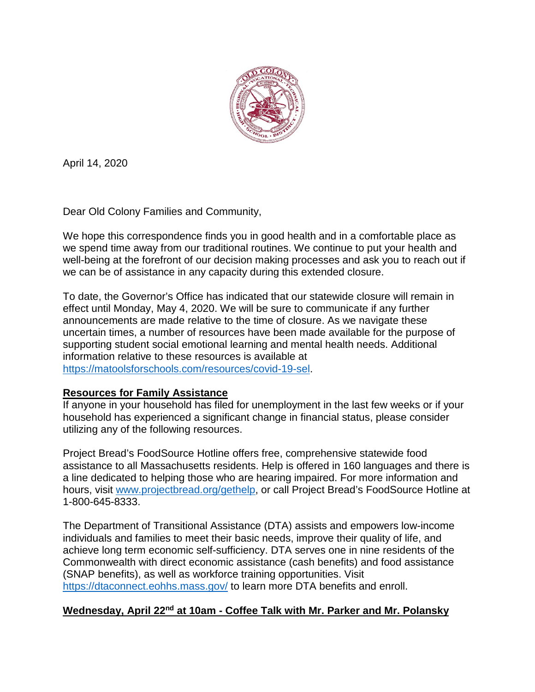

April 14, 2020

Dear Old Colony Families and Community,

We hope this correspondence finds you in good health and in a comfortable place as we spend time away from our traditional routines. We continue to put your health and well-being at the forefront of our decision making processes and ask you to reach out if we can be of assistance in any capacity during this extended closure.

To date, the Governor's Office has indicated that our statewide closure will remain in effect until Monday, May 4, 2020. We will be sure to communicate if any further announcements are made relative to the time of closure. As we navigate these uncertain times, a number of resources have been made available for the purpose of supporting student social emotional learning and mental health needs. Additional information relative to these resources is available at [https://matoolsforschools.com/resources/covid-19-sel.](https://matoolsforschools.com/resources/covid-19-sel)

# **Resources for Family Assistance**

If anyone in your household has filed for unemployment in the last few weeks or if your household has experienced a significant change in financial status, please consider utilizing any of the following resources.

Project Bread's FoodSource Hotline offers free, comprehensive statewide food assistance to all Massachusetts residents. Help is offered in 160 languages and there is a line dedicated to helping those who are hearing impaired. For more information and hours, visit [www.projectbread.org/gethelp,](http://www.projectbread.org/gethelp) or call Project Bread's FoodSource Hotline at 1-800-645-8333.

The Department of Transitional Assistance (DTA) assists and empowers low-income individuals and families to meet their basic needs, improve their quality of life, and achieve long term economic self-sufficiency. DTA serves one in nine residents of the Commonwealth with direct economic assistance (cash benefits) and food assistance (SNAP benefits), as well as workforce training opportunities. Visit <https://dtaconnect.eohhs.mass.gov/> to learn more DTA benefits and enroll.

# **Wednesday, April 22nd at 10am - Coffee Talk with Mr. Parker and Mr. Polansky**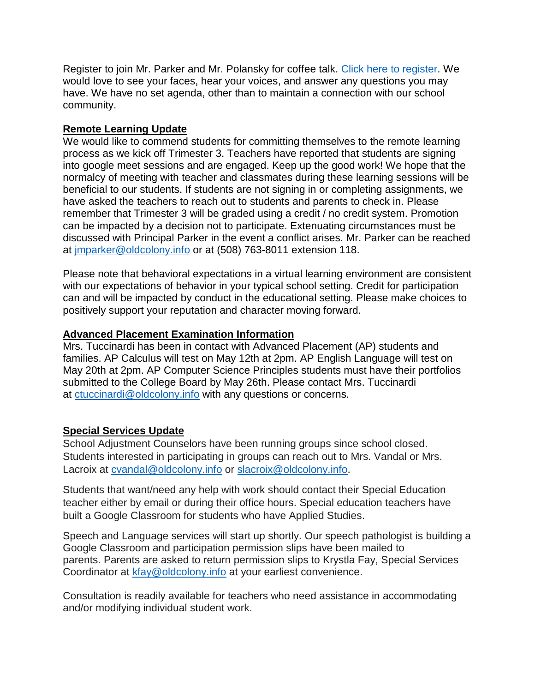Register to join Mr. Parker and Mr. Polansky for coffee talk[. Click here to register.](https://zoom.us/meeting/register/tJYvc-mgrDoqG9Ym6qUOu2jAtofrouJ4Oe_3) We would love to see your faces, hear your voices, and answer any questions you may have. We have no set agenda, other than to maintain a connection with our school community.

### **Remote Learning Update**

We would like to commend students for committing themselves to the remote learning process as we kick off Trimester 3. Teachers have reported that students are signing into google meet sessions and are engaged. Keep up the good work! We hope that the normalcy of meeting with teacher and classmates during these learning sessions will be beneficial to our students. If students are not signing in or completing assignments, we have asked the teachers to reach out to students and parents to check in. Please remember that Trimester 3 will be graded using a credit / no credit system. Promotion can be impacted by a decision not to participate. Extenuating circumstances must be discussed with Principal Parker in the event a conflict arises. Mr. Parker can be reached at [jmparker@oldcolony.info](mailto:jmparker@oldcolony.info) or at (508) 763-8011 extension 118.

Please note that behavioral expectations in a virtual learning environment are consistent with our expectations of behavior in your typical school setting. Credit for participation can and will be impacted by conduct in the educational setting. Please make choices to positively support your reputation and character moving forward.

## **Advanced Placement Examination Information**

Mrs. Tuccinardi has been in contact with Advanced Placement (AP) students and families. AP Calculus will test on May 12th at 2pm. AP English Language will test on May 20th at 2pm. AP Computer Science Principles students must have their portfolios submitted to the College Board by May 26th. Please contact Mrs. Tuccinardi at [ctuccinardi@oldcolony.info](mailto:ctuccinardi@oldcolony.info) with any questions or concerns.

# **Special Services Update**

School Adjustment Counselors have been running groups since school closed. Students interested in participating in groups can reach out to Mrs. Vandal or Mrs. Lacroix at [cvandal@oldcolony.info](mailto:cvandal@oldcolony.info) or [slacroix@oldcolony.info.](mailto:slacroix@oldcolony.info)

Students that want/need any help with work should contact their Special Education teacher either by email or during their office hours. Special education teachers have built a Google Classroom for students who have Applied Studies.

Speech and Language services will start up shortly. Our speech pathologist is building a Google Classroom and participation permission slips have been mailed to parents. Parents are asked to return permission slips to Krystla Fay, Special Services Coordinator at [kfay@oldcolony.info](mailto:kfay@oldcolony.info) at your earliest convenience.

Consultation is readily available for teachers who need assistance in accommodating and/or modifying individual student work.